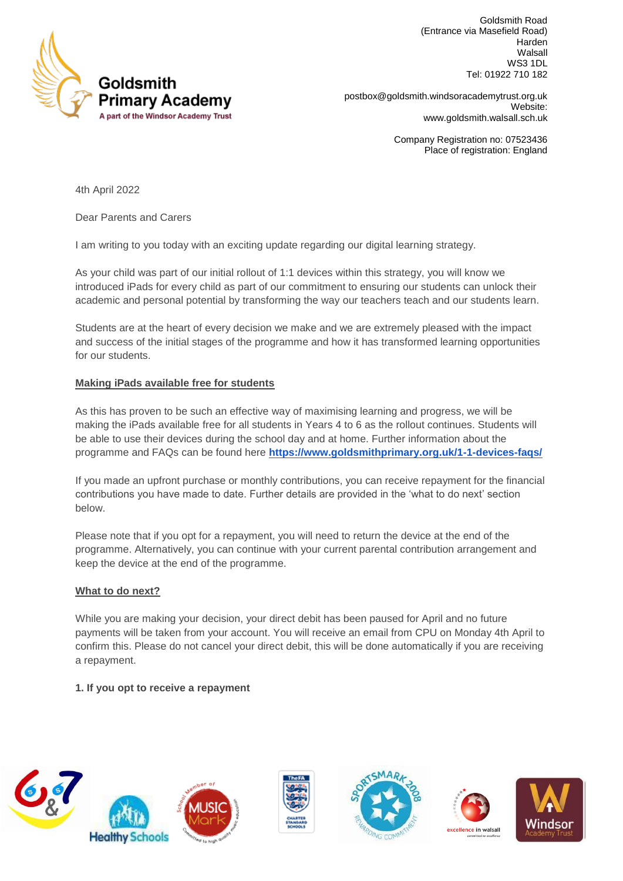

Goldsmith Road (Entrance via Masefield Road) Harden Walsall WS3 1DL Tel: 01922 710 182

**Primary Academy Example 3 and Septem** [postbox@goldsmith.windsoracademytrust.org.uk](mailto:postbox@goldsmith.windsoracademytrust.org.uk) Website: [www.goldsmith.walsall.sch.uk](http://www.goldsmith.walsall.sch.uk/)

> Company Registration no: 07523436 Place of registration: England

4th April 2022

Dear Parents and Carers

I am writing to you today with an exciting update regarding our digital learning strategy.

As your child was part of our initial rollout of 1:1 devices within this strategy, you will know we introduced iPads for every child as part of our commitment to ensuring our students can unlock their academic and personal potential by transforming the way our teachers teach and our students learn.

Students are at the heart of every decision we make and we are extremely pleased with the impact and success of the initial stages of the programme and how it has transformed learning opportunities for our students.

## **Making iPads available free for students**

As this has proven to be such an effective way of maximising learning and progress, we will be making the iPads available free for all students in Years 4 to 6 as the rollout continues. Students will be able to use their devices during the school day and at home. Further information about the programme and FAQs can be found here **<https://www.goldsmithprimary.org.uk/1-1-devices-faqs/>**

If you made an upfront purchase or monthly contributions, you can receive repayment for the financial contributions you have made to date. Further details are provided in the 'what to do next' section below.

Please note that if you opt for a repayment, you will need to return the device at the end of the programme. Alternatively, you can continue with your current parental contribution arrangement and keep the device at the end of the programme.

## **What to do next?**

While you are making your decision, your direct debit has been paused for April and no future payments will be taken from your account. You will receive an email from CPU on Monday 4th April to confirm this. Please do not cancel your direct debit, this will be done automatically if you are receiving a repayment.

## **1. If you opt to receive a repayment**